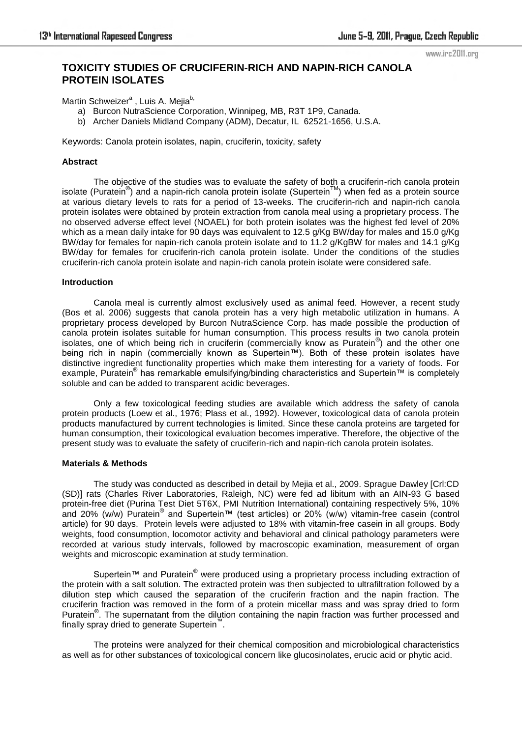#### www.irc2011.org

# **TOXICITY STUDIES OF CRUCIFERIN-RICH AND NAPIN-RICH CANOLA PROTEIN ISOLATES**

Martin Schweizer<sup>a</sup>, Luis A. Mejia<sup>b,</sup>

- a) Burcon NutraScience Corporation, Winnipeg, MB, R3T 1P9, Canada.
- b) Archer Daniels Midland Company (ADM), Decatur, IL 62521-1656, U.S.A.

Keywords: Canola protein isolates, napin, cruciferin, toxicity, safety

#### **Abstract**

The objective of the studies was to evaluate the safety of both a cruciferin-rich canola protein isolate (Puratein®) and a napin-rich canola protein isolate (Supertein™) when fed as a protein source at various dietary levels to rats for a period of 13-weeks. The cruciferin-rich and napin-rich canola protein isolates were obtained by protein extraction from canola meal using a proprietary process. The no observed adverse effect level (NOAEL) for both protein isolates was the highest fed level of 20% which as a mean daily intake for 90 days was equivalent to 12.5 g/Kg BW/day for males and 15.0 g/Kg BW/day for females for napin-rich canola protein isolate and to 11.2 g/KgBW for males and 14.1 g/Kg BW/day for females for cruciferin-rich canola protein isolate. Under the conditions of the studies cruciferin-rich canola protein isolate and napin-rich canola protein isolate were considered safe.

#### **Introduction**

Canola meal is currently almost exclusively used as animal feed. However, a recent study (Bos et al. 2006) suggests that canola protein has a very high metabolic utilization in humans. A proprietary process developed by Burcon NutraScience Corp. has made possible the production of canola protein isolates suitable for human consumption. This process results in two canola protein isolates, one of which being rich in cruciferin (commercially know as Puratein®) and the other one being rich in napin (commercially known as Supertein™). Both of these protein isolates have distinctive ingredient functionality properties which make them interesting for a variety of foods. For example, Puratein<sup>®</sup> has remarkable emulsifying/binding characteristics and Supertein™ is completely soluble and can be added to transparent acidic beverages.

Only a few toxicological feeding studies are available which address the safety of canola protein products (Loew et al., 1976; Plass et al., 1992). However, toxicological data of canola protein products manufactured by current technologies is limited. Since these canola proteins are targeted for human consumption, their toxicological evaluation becomes imperative. Therefore, the objective of the present study was to evaluate the safety of cruciferin-rich and napin-rich canola protein isolates.

#### **Materials & Methods**

The study was conducted as described in detail by Mejia et al., 2009. Sprague Dawley [Crl:CD (SD)] rats (Charles River Laboratories, Raleigh, NC) were fed ad libitum with an AIN-93 G based protein-free diet (Purina Test Diet 5T6X, PMI Nutrition International) containing respectively 5%, 10% .<br>and 20% (w/w) Puratein<sup>®</sup> and Supertein™ (test articles) or 20% (w/w) vitamin-free casein (control article) for 90 days. Protein levels were adjusted to 18% with vitamin-free casein in all groups. Body weights, food consumption, locomotor activity and behavioral and clinical pathology parameters were recorded at various study intervals, followed by macroscopic examination, measurement of organ weights and microscopic examination at study termination.

Supertein™ and Puratein® were produced using a proprietary process including extraction of the protein with a salt solution. The extracted protein was then subjected to ultrafiltration followed by a dilution step which caused the separation of the cruciferin fraction and the napin fraction. The cruciferin fraction was removed in the form of a protein micellar mass and was spray dried to form Puratein<sup>®</sup>. The supernatant from the dilution containing the napin fraction was further processed and finally spray dried to generate Supertein™ .

The proteins were analyzed for their chemical composition and microbiological characteristics as well as for other substances of toxicological concern like glucosinolates, erucic acid or phytic acid.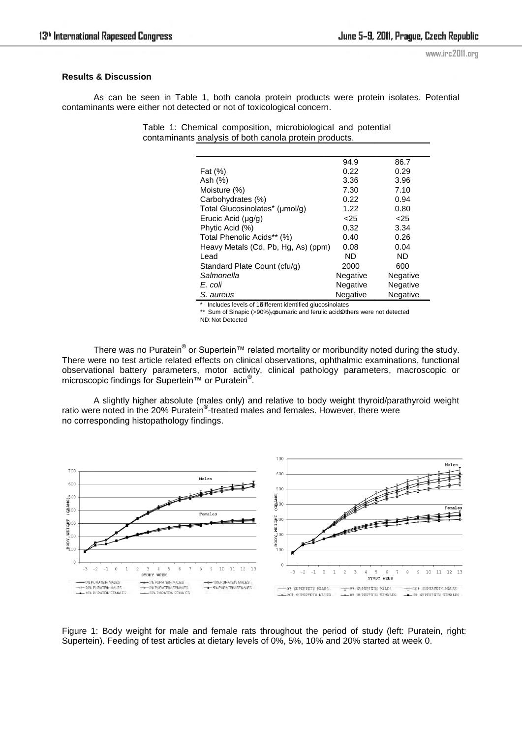### **Results & Discussion**

As can be seen in Table 1, both canola protein products were protein isolates. Potential contaminants were either not detected or not of toxicological concern.

> Table 1: Chemical composition, microbiological and potential contaminants analysis of both canola protein products.

|                                     | 94.9            | 86.7     |
|-------------------------------------|-----------------|----------|
| Fat (%)                             | 0.22            | 0.29     |
| Ash (%)                             | 3.36            | 3.96     |
| Moisture (%)                        | 7.30            | 7.10     |
| Carbohydrates (%)                   | 0.22            | 0.94     |
| Total Glucosinolates* (µmol/g)      | 1.22            | 0.80     |
| Erucic Acid (µg/g)                  | < 25            | < 25     |
| Phytic Acid (%)                     | 0.32            | 3.34     |
| Total Phenolic Acids** (%)          | 0.40            | 0.26     |
| Heavy Metals (Cd, Pb, Hg, As) (ppm) | 0.08            | 0.04     |
| Lead                                | ND              | ND       |
| Standard Plate Count (cfu/g)        | 2000            | 600      |
| Salmonella                          | Negative        | Negative |
| E. coli                             | Negative        | Negative |
| S. aureus                           | <b>Negative</b> | Negative |

\* Includes levels of 15 different identified glucosinolates \*\* Sum of Sinapic (>90%), qpumaric and ferulic acid Others were not detected

ND: Not Detected

There was no Puratein® or Supertein™ related mortality or moribundity noted during the study. There were no test article related effects on clinical observations, ophthalmic examinations, functional observational battery parameters, motor activity, clinical pathology parameters, macroscopic or microscopic findings for Supertein™ or Puratein<sup>®</sup>.

A slightly higher absolute (males only) and relative to body weight thyroid/parathyroid weight ratio were noted in the 20% Puratein<sup>®</sup>-treated males and females. However, there were no corresponding histopathology findings.



Figure 1: Body weight for male and female rats throughout the period of study (left: Puratein, right: Supertein). Feeding of test articles at dietary levels of 0%, 5%, 10% and 20% started at week 0.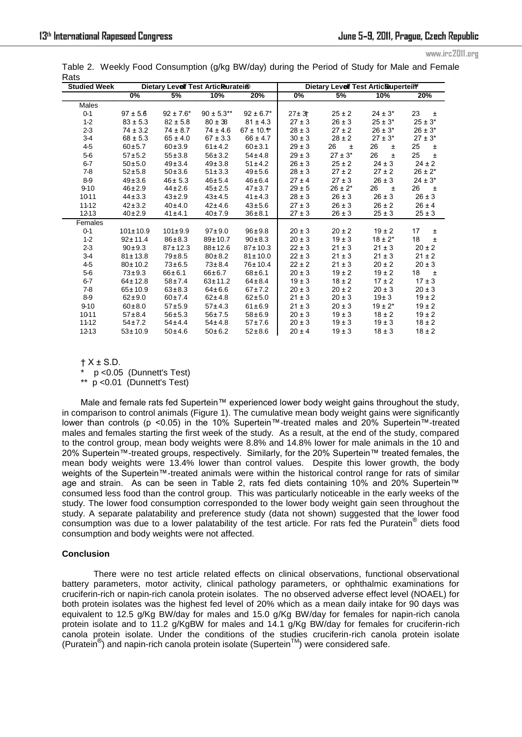www.irc2011.org

| <b>Studied Week</b> | Dietary Levelf Test Articleuratei® |                |                 |                 | Dietary Levelf Test ArticBuperteil <sup>w</sup> |              |              |              |
|---------------------|------------------------------------|----------------|-----------------|-----------------|-------------------------------------------------|--------------|--------------|--------------|
|                     | 0%                                 | 5%             | 10%             | 20%             | $0\%$                                           | 5%           | 10%          | 20%          |
| Males               |                                    |                |                 |                 |                                                 |              |              |              |
| $0 - 1$             | $97 \pm 5.6$                       | $92 \pm 7.6^*$ | $90 \pm 5.3***$ | $92 \pm 6.7^*$  | $27 + 3 +$                                      | $25 \pm 2$   | $24 \pm 3^*$ | 23<br>$\pm$  |
| $1-2$               | $83 \pm 5.3$                       | $82 \pm 5.8$   | $80 \pm 38$     | $81 \pm 4.3$    | $27 \pm 3$                                      | $26 \pm 3$   | $25 \pm 3^*$ | $25 \pm 3^*$ |
| $2 - 3$             | $74 \pm 3.2$                       | $74 \pm 8.7$   | $74 \pm 4.6$    | $67 \pm 10.1$ * | $28 \pm 3$                                      | $27 \pm 2$   | $26 \pm 3^*$ | $26 \pm 3^*$ |
| $3-4$               | $68 \pm 5.3$                       | $65 \pm 4.0$   | $67 \pm 3.3$    | $66 \pm 4.7$    | $30 \pm 3$                                      | $28 \pm 2$   | $27 \pm 3^*$ | $27 \pm 3^*$ |
| 4-5                 | $60 + 5.7$                         | $60 + 3.9$     | $61 \pm 4.2$    | $60 \pm 3.1$    | $29 \pm 3$                                      | 26<br>一生     | 26<br>$\pm$  | 25<br>$\pm$  |
| $5-6$               | $57 + 5.2$                         | $55 \pm 3.8$   | $56 \pm 3.2$    | $54 \pm 4.8$    | $29 \pm 3$                                      | $27 \pm 3*$  | 26<br>$\pm$  | 25<br>$\pm$  |
| $6-7$               | $50 + 5.0$                         | $49 \pm 3.4$   | $49 \pm 3.8$    | $51 \pm 4.2$    | $26 \pm 3$                                      | $25 \pm 2$   | $24 \pm 3$   | $24 \pm 2$   |
| 7-8                 | $52 + 5.8$                         | $50 \pm 3.6$   | $51 \pm 3.3$    | $49 + 5.6$      | $28 \pm 3$                                      | $27 \pm 2$   | $27 \pm 2$   | $26 \pm 2^*$ |
| $8-9$               | $49 \pm 3.6$                       | $46 \pm 5.3$   | $46 \pm 5.4$    | $46 \pm 6.4$    | $27 \pm 4$                                      | $27 \pm 3$   | $26 \pm 3$   | $24 \pm 3^*$ |
| $9 - 10$            | $46 \pm 2.9$                       | $44 \pm 2.6$   | $45 \pm 2.5$    | $47 + 3.7$      | $29 \pm 5$                                      | $26 \pm 2^*$ | 26<br>$\pm$  | 26<br>$\pm$  |
| 1011                | $44 \pm 3.3$                       | $43 \pm 2.9$   | $43 \pm 4.5$    | $41 \pm 4.3$    | $28 \pm 3$                                      | $26 \pm 3$   | $26 \pm 3$   | $26 \pm 3$   |
| 11-12               | $42 \pm 3.2$                       | 40±4.0         | $42 \pm 4.6$    | $43 + 5.6$      | $27 \pm 3$                                      | $26 \pm 3$   | $26 \pm 2$   | $26 \pm 4$   |
| 1213                | $40 \pm 2.9$                       | $41 \pm 4.1$   | 40±7.9          | $36 + 8.1$      | $27 \pm 3$                                      | $26 \pm 3$   | $25 \pm 3$   | $25 \pm 3$   |
| Females             |                                    |                |                 |                 |                                                 |              |              |              |
| $0 - 1$             | $101 \pm 10.9$                     | $101 \pm 9.9$  | $97 + 9.0$      | $96 + 9.8$      | $20 \pm 3$                                      | $20 \pm 2$   | $19 \pm 2$   | 17<br>$\pm$  |
| $1-2$               | $92 \pm 11.4$                      | $86 \pm 8.3$   | $89 + 10.7$     | $90 \pm 8.3$    | $20 \pm 3$                                      | $19 \pm 3$   | $18 \pm 2^*$ | 18<br>$\pm$  |
| $2-3$               | $90 \pm 9.3$                       | $87 + 12.3$    | 88±12.6         | $87 + 10.3$     | $22 \pm 3$                                      | $21 \pm 3$   | $21 \pm 3$   | $20 \pm 2$   |
| $3-4$               | $81 \pm 13.8$                      | $79 + 8.5$     | $80 \pm 8.2$    | $81 \pm 10.0$   | $22 \pm 3$                                      | $21 \pm 3$   | $21 \pm 3$   | $21 \pm 2$   |
| $4-5$               | $80 \pm 10.2$                      | $73 + 6.5$     | $73 \pm 8.4$    | 76±10.4         | $22 \pm 2$                                      | $21 \pm 3$   | $20 \pm 2$   | $20 \pm 3$   |
| $5-6$               | $73 + 9.3$                         | $66 \pm 6.1$   | 66±6.7          | $68 + 6.1$      | $20 \pm 3$                                      | $19 \pm 2$   | $19 \pm 2$   | 18<br>$\pm$  |
| $6-7$               | $64 \pm 12.8$                      | $58 + 7.4$     | $63 + 11.2$     | $64 \pm 8.4$    | $19 \pm 3$                                      | $18 \pm 2$   | $17 \pm 2$   | $17 \pm 3$   |
| $7-8$               | $65 \pm 10.9$                      | $63 + 8.3$     | $64 \pm 6.6$    | $67 + 7.2$      | $20 \pm 3$                                      | $20 \pm 2$   | $20 \pm 3$   | $20 \pm 3$   |
| 8-9                 | $62 + 9.0$                         | 60±7.4         | $62 \pm 4.8$    | $62 + 5.0$      | $21 \pm 3$                                      | $20 \pm 3$   | 19±3         | $19 \pm 2$   |
| $9 - 10$            | $60 \pm 8.0$                       | $57 + 5.9$     | $57 + 4.3$      | $61 \pm 6.9$    | $21 \pm 3$                                      | $20 \pm 3$   | $19 \pm 2^*$ | $19 \pm 2$   |
| 1011                | $57 + 8.4$                         | $56 + 5.3$     | $56 \pm 7.5$    | $58 + 6.9$      | $20 \pm 3$                                      | $19 \pm 3$   | $18 \pm 2$   | $19 \pm 2$   |
| 11-12               | $54 \pm 7.2$                       | $54 \pm 4.4$   | $54 \pm 4.8$    | $57 + 7.6$      | $20 \pm 3$                                      | $19 \pm 3$   | $19 \pm 3$   | $18 \pm 2$   |
| 1213                | $53 + 10.9$                        | $50 + 4.6$     | $50 \pm 6.2$    | $52 \pm 8.6$    | $20 \pm 4$                                      | $19 \pm 3$   | $18 \pm 3$   | $18 \pm 2$   |

Table 2. Weekly Food Consumption (g/kg BW/day) during the Period of Study for Male and Female Rats

 $† X ± S.D.$ 

p <0.05 (Dunnett's Test)

 $p$  <0.01 (Dunnett's Test)

Male and female rats fed Supertein™ experienced lower body weight gains throughout the study, in comparison to control animals (Figure 1). The cumulative mean body weight gains were significantly lower than controls (p <0.05) in the 10% Supertein™-treated males and 20% Supertein™-treated males and females starting the first week of the study. As a result, at the end of the study, compared to the control group, mean body weights were 8.8% and 14.8% lower for male animals in the 10 and 20% Supertein™-treated groups, respectively. Similarly, for the 20% Supertein™ treated females, the mean body weights were 13.4% lower than control values. Despite this lower growth, the body weights of the Supertein™-treated animals were within the historical control range for rats of similar age and strain. As can be seen in Table 2, rats fed diets containing 10% and 20% Supertein™ consumed less food than the control group. This was particularly noticeable in the early weeks of the study. The lower food consumption corresponded to the lower body weight gain seen throughout the study. A separate palatability and preference study (data not shown) suggested that the lower food consumption was due to a lower palatability of the test article. For rats fed the Puratein® diets food consumption and body weights were not affected.

## **Conclusion**

There were no test article related effects on clinical observations, functional observational battery parameters, motor activity, clinical pathology parameters, or ophthalmic examinations for cruciferin-rich or napin-rich canola protein isolates. The no observed adverse effect level (NOAEL) for both protein isolates was the highest fed level of 20% which as a mean daily intake for 90 days was equivalent to 12.5 g/Kg BW/day for males and 15.0 g/Kg BW/day for females for napin-rich canola protein isolate and to 11.2 g/KgBW for males and 14.1 g/Kg BW/day for females for cruciferin-rich canola protein isolate. Under the conditions of the studies cruciferin-rich canola protein isolate (Puratein<sup>®</sup>) and napin-rich canola protein isolate (Supertein<sup>™</sup>) were considered safe.